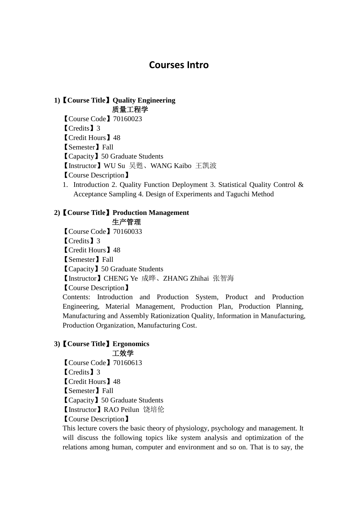# **Courses Intro**

### **1)**【**Course Title**】**Quality Engineering**  质量工程学

【Course Code】70160023 【Credits】3 【Credit Hours】48 【Semester】Fall 【Capacity】50 Graduate Students 【Instructor】WU Su 吴甦、WANG Kaibo 王凯波

【Course Description】

1. Introduction 2. Quality Function Deployment 3. Statistical Quality Control & Acceptance Sampling 4. Design of Experiments and Taguchi Method

# **2)**【**Course Title**】**Production Management**

生产管理

【Course Code】70160033 【Credits】3 【Credit Hours】48 【Semester】Fall 【Capacity】50 Graduate Students 【Instructor】CHENG Ye 成晔、ZHANG Zhihai 张智海 【Course Description】 Contents: Introduction and Production System, Product and Production Engineering, Material Management, Production Plan, Production Planning, Manufacturing and Assembly Rationization Quality, Information in Manufacturing, Production Organization, Manufacturing Cost.

## **3)**【**Course Title**】**Ergonomics**

工效学 【Course Code】70160613 【Credits】3 【Credit Hours】48 【Semester】Fall 【Capacity】50 Graduate Students 【Instructor】RAO Peilun 饶培伦 【Course Description】

This lecture covers the basic theory of physiology, psychology and management. It will discuss the following topics like system analysis and optimization of the relations among human, computer and environment and so on. That is to say, the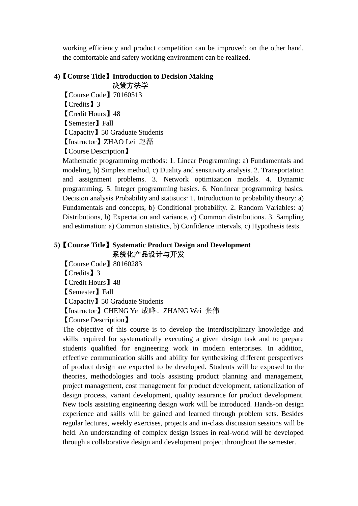working efficiency and product competition can be improved; on the other hand, the comfortable and safety working environment can be realized.

#### **4)**【**Course Title**】**Introduction to Decision Making**  决策方法学

【Course Code】70160513 【Credits】3 【Credit Hours】48 【Semester】Fall 【Capacity】50 Graduate Students 【Instructor】ZHAO Lei 赵磊 【Course Description】

Mathematic programming methods: 1. Linear Programming: a) Fundamentals and modeling, b) Simplex method, c) Duality and sensitivity analysis. 2. Transportation and assignment problems. 3. Network optimization models. 4. Dynamic programming. 5. Integer programming basics. 6. Nonlinear programming basics. Decision analysis Probability and statistics: 1. Introduction to probability theory: a) Fundamentals and concepts, b) Conditional probability. 2. Random Variables: a) Distributions, b) Expectation and variance, c) Common distributions. 3. Sampling and estimation: a) Common statistics, b) Confidence intervals, c) Hypothesis tests.

#### **5)**【**Course Title**】**Systematic Product Design and Development**  系统化产品设计与开发

【Course Code】80160283 【Credits】3 【Credit Hours】48 【Semester】Fall 【Capacity】50 Graduate Students 【Instructor】CHENG Ye 成晔、ZHANG Wei 张伟 【Course Description】

The objective of this course is to develop the interdisciplinary knowledge and skills required for systematically executing a given design task and to prepare students qualified for engineering work in modern enterprises. In addition, effective communication skills and ability for synthesizing different perspectives of product design are expected to be developed. Students will be exposed to the theories, methodologies and tools assisting product planning and management, project management, cost management for product development, rationalization of design process, variant development, quality assurance for product development. New tools assisting engineering design work will be introduced. Hands-on design experience and skills will be gained and learned through problem sets. Besides regular lectures, weekly exercises, projects and in-class discussion sessions will be held. An understanding of complex design issues in real-world will be developed through a collaborative design and development project throughout the semester.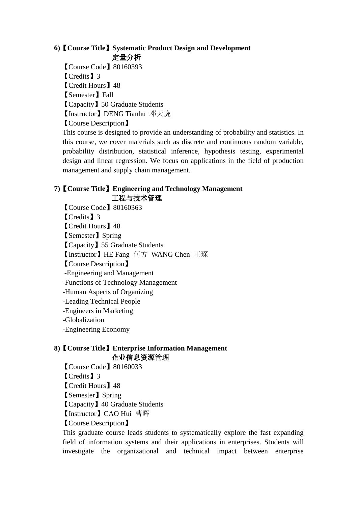#### **6)**【**Course Title**】**Systematic Product Design and Development**  定量分析

【Course Code】80160393 【Credits】3 【Credit Hours】48 【Semester】Fall 【Capacity】50 Graduate Students 【Instructor】DENG Tianhu 邓天虎 【Course Description】

This course is designed to provide an understanding of probability and statistics. In this course, we cover materials such as discrete and continuous random variable, probability distribution, statistical inference, hypothesis testing, experimental design and linear regression. We focus on applications in the field of production management and supply chain management.

### **7)**【**Course Title**】**Engineering and Technology Management** 工程与技术管理

【Course Code】80160363 【Credits】3 【Credit Hours】48 【Semester】Spring 【Capacity】55 Graduate Students 【Instructor】HE Fang 何方 WANG Chen 王琛 【Course Description】 -Engineering and Management -Functions of Technology Management -Human Aspects of Organizing -Leading Technical People -Engineers in Marketing -Globalization -Engineering Economy

## **8)**【**Course Title**】**Enterprise Information Management**  企业信息资源管理

【Course Code】80160033 【Credits】3 【Credit Hours】48 【Semester】Spring 【Capacity】40 Graduate Students 【Instructor】CAO Hui 曹晖 【Course Description】

This graduate course leads students to systematically explore the fast expanding field of information systems and their applications in enterprises. Students will investigate the organizational and technical impact between enterprise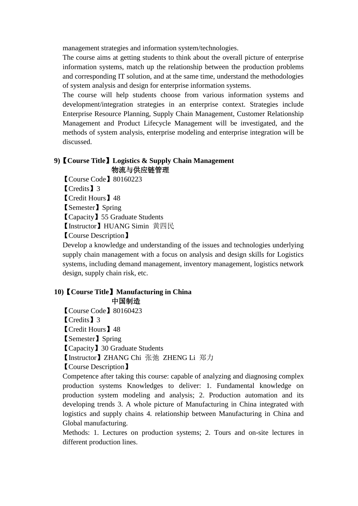management strategies and information system/technologies.

The course aims at getting students to think about the overall picture of enterprise information systems, match up the relationship between the production problems and corresponding IT solution, and at the same time, understand the methodologies of system analysis and design for enterprise information systems.

The course will help students choose from various information systems and development/integration strategies in an enterprise context. Strategies include Enterprise Resource Planning, Supply Chain Management, Customer Relationship Management and Product Lifecycle Management will be investigated, and the methods of system analysis, enterprise modeling and enterprise integration will be discussed.

#### **9)**【**Course Title**】**Logistics & Supply Chain Management**  物流与供应链管理

【Course Code】80160223 【Credits】3 【Credit Hours】48 【Semester】Spring 【Capacity】55 Graduate Students 【Instructor】HUANG Simin 黄四民 【Course Description】

Develop a knowledge and understanding of the issues and technologies underlying supply chain management with a focus on analysis and design skills for Logistics systems, including demand management, inventory management, logistics network design, supply chain risk, etc.

### **10)**【**Course Title**】**Manufacturing in China** 中国制造

【Course Code】80160423

【Credits】3

【Credit Hours】48

【Semester】Spring

【Capacity】30 Graduate Students

【Instructor】ZHANG Chi 张弛 ZHENG Li 郑力

【Course Description】

Competence after taking this course: capable of analyzing and diagnosing complex production systems Knowledges to deliver: 1. Fundamental knowledge on production system modeling and analysis; 2. Production automation and its developing trends 3. A whole picture of Manufacturing in China integrated with logistics and supply chains 4. relationship between Manufacturing in China and Global manufacturing.

Methods: 1. Lectures on production systems; 2. Tours and on-site lectures in different production lines.